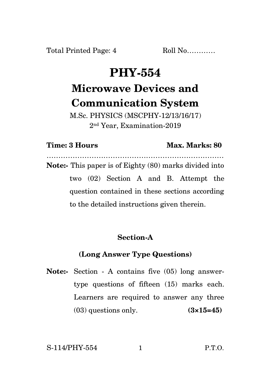# **PHY-554 Microwave Devices and Communication System**

M.Sc. PHYSICS (MSCPHY-12/13/16/17) 2 nd Year, Examination-2019

### **Time: 3 Hours Max. Marks: 80**

………………………………………………………………… **Note:-** This paper is of Eighty (80) marks divided into two (02) Section A and B. Attempt the question contained in these sections according to the detailed instructions given therein.

### **Section-A**

# **(Long Answer Type Questions)**

**Note:-** Section - A contains five (05) long answertype questions of fifteen (15) marks each. Learners are required to answer any three (03) questions only. **(3×15=45)**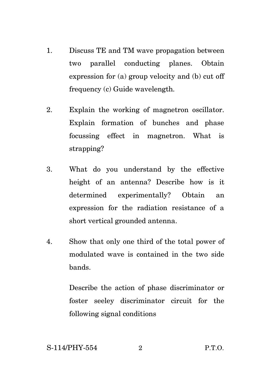- 1. Discuss TE and TM wave propagation between two parallel conducting planes. Obtain expression for (a) group velocity and (b) cut off frequency (c) Guide wavelength.
- 2. Explain the working of magnetron oscillator. Explain formation of bunches and phase focussing effect in magnetron. What is strapping?
- 3. What do you understand by the effective height of an antenna? Describe how is it determined experimentally? Obtain an expression for the radiation resistance of a short vertical grounded antenna.
- 4. Show that only one third of the total power of modulated wave is contained in the two side bands.

Describe the action of phase discriminator or foster seeley discriminator circuit for the following signal conditions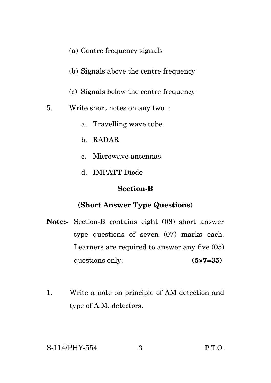- (a) Centre frequency signals
- (b) Signals above the centre frequency
- (c) Signals below the centre frequency
- 5. Write short notes on any two :
	- a. Travelling wave tube
	- b. RADAR
	- c. Microwave antennas
	- d. IMPATT Diode

#### **Section-B**

## **(Short Answer Type Questions)**

- **Note:-** Section-B contains eight (08) short answer type questions of seven (07) marks each. Learners are required to answer any five (05) questions only. **(5×7=35)**
- 1. Write a note on principle of AM detection and type of A.M. detectors.